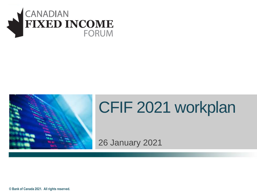



# CFIF 2021 workplan

26 January 2021

**© Bank of Canada 2021. All rights reserved.**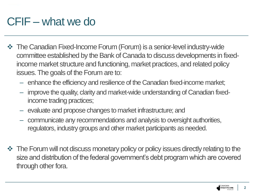# CFIF – what we do

- ❖ The Canadian Fixed-Income Forum (Forum) is a senior-level industry-wide committee established by the Bank of Canada to discuss developments in fixedincome market structure and functioning, market practices, and related policy issues. The goals of the Forum are to:
	- enhance the efficiency and resilience of the Canadian fixed-income market;
	- improve the quality, clarity and market-wide understanding of Canadian fixedincome trading practices;
	- evaluate and propose changes to market infrastructure; and
	- communicate any recommendations and analysis to oversight authorities, regulators, industry groups and other market participants as needed.
- ❖ The Forum will not discuss monetary policy or policy issues directly relating to the size and distribution of the federal government's debt program which are covered through other fora.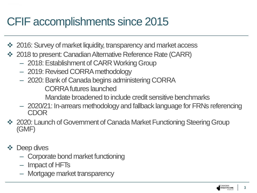#### CFIF accomplishments since 2015

- ❖ 2016: Survey of market liquidity, transparency and market access
- ❖ 2018 to present: Canadian Alternative Reference Rate (CARR)
	- 2018: Establishment of CARR Working Group
	- 2019: Revised CORRA methodology
	- 2020: Bank of Canada begins administering CORRA

CORRA futures launched

Mandate broadened to include credit sensitive benchmarks

- 2020/21: In-arrears methodology and fallback language for FRNs referencing CDOR
- ❖ 2020: Launch of Government of Canada Market Functioning Steering Group (GMF)
- ❖ Deep dives
	- Corporate bond market functioning
	- Impact of HFTs
	- Mortgage market transparency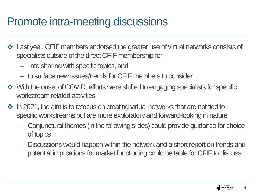#### Promote intra-meeting discussions

- ❖ Last year, CFIF members endorsed the greater use of virtual networks consists of specialists outside of the direct CFIF membership for:
	- info sharing with specific topics, and
	- to surface new issues/trends for CFIF members to consider
- ❖ With the onset of COVID, efforts were shifted to engaging specialists for specific workstream related activities
- ❖ In 2021, the aim is to refocus on creating virtual networks that are not tied to specific workstreams but are more exploratory and forward-looking in nature
	- Conjunctural themes (in the following slides) could provide guidance for choice of topics
	- Discussions would happen within the network and a short report on trends and potential implications for market functioning could be table for CFIF to discuss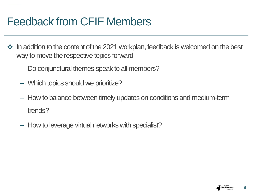#### Feedback from CFIF Members

- ❖ In addition to the content of the 2021 workplan, feedback is welcomed on the best way to move the respective topics forward
	- Do conjunctural themes speak to all members?
	- Which topics should we prioritize?
	- How to balance between timely updates on conditions and medium-term trends?
	- How to leverage virtual networks with specialist?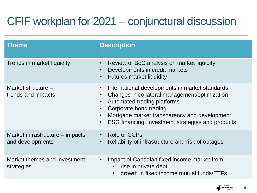# CFIF workplan for 2021 – conjunctural discussion

| Theme                                               | <b>Description</b>                                                                                                                                                                                                                                                                      |
|-----------------------------------------------------|-----------------------------------------------------------------------------------------------------------------------------------------------------------------------------------------------------------------------------------------------------------------------------------------|
| Trends in market liquidity                          | Review of BoC analysis on market liquidity<br>$\bullet$<br>Developments in credit markets<br>$\bullet$<br><b>Futures market liquidity</b><br>$\bullet$                                                                                                                                  |
| Market structure $-$<br>trends and impacts          | International developments in market standards<br>$\bullet$<br>Changes in collateral management/optimization<br>Automated trading platforms<br>Corporate bond trading<br>Mortgage market transparency and development<br>ESG financing, investment strategies and products<br>$\bullet$ |
| Market infrastructure – impacts<br>and developments | Role of CCPs<br>$\bullet$<br>Reliability of infrastructure and risk of outages<br>$\bullet$                                                                                                                                                                                             |
| Market themes and investment<br>strategies          | Impact of Canadian fixed income market from:<br>$\bullet$<br>rise in private debt<br>growth in fixed income mutual funds/ETFs                                                                                                                                                           |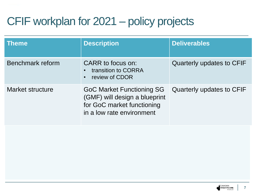# CFIF workplan for 2021 – policy projects

| <b>Theme</b>     | <b>Description</b>                                                                                                           | <b>Deliverables</b>       |
|------------------|------------------------------------------------------------------------------------------------------------------------------|---------------------------|
| Benchmark reform | CARR to focus on:<br>transition to CORRA<br>review of CDOR                                                                   | Quarterly updates to CFIF |
| Market structure | <b>GoC Market Functioning SG</b><br>(GMF) will design a blueprint<br>for GoC market functioning<br>in a low rate environment | Quarterly updates to CFIF |